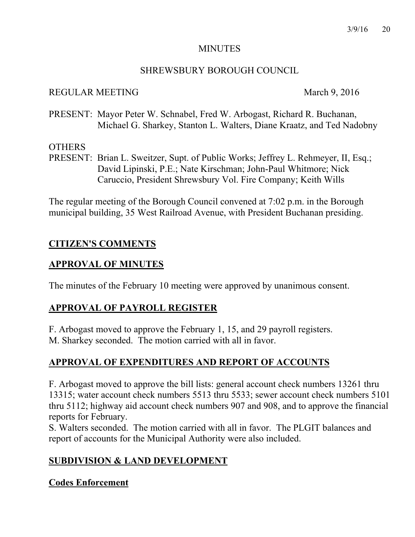#### MINUTES

## SHREWSBURY BOROUGH COUNCIL

## REGULAR MEETING March 9, 2016

PRESENT: Mayor Peter W. Schnabel, Fred W. Arbogast, Richard R. Buchanan, Michael G. Sharkey, Stanton L. Walters, Diane Kraatz, and Ted Nadobny

## **OTHERS**

PRESENT: Brian L. Sweitzer, Supt. of Public Works; Jeffrey L. Rehmeyer, II, Esq.; David Lipinski, P.E.; Nate Kirschman; John-Paul Whitmore; Nick Caruccio, President Shrewsbury Vol. Fire Company; Keith Wills

The regular meeting of the Borough Council convened at 7:02 p.m. in the Borough municipal building, 35 West Railroad Avenue, with President Buchanan presiding.

# **CITIZEN'S COMMENTS**

# **APPROVAL OF MINUTES**

The minutes of the February 10 meeting were approved by unanimous consent.

# **APPROVAL OF PAYROLL REGISTER**

F. Arbogast moved to approve the February 1, 15, and 29 payroll registers. M. Sharkey seconded. The motion carried with all in favor.

# **APPROVAL OF EXPENDITURES AND REPORT OF ACCOUNTS**

F. Arbogast moved to approve the bill lists: general account check numbers 13261 thru 13315; water account check numbers 5513 thru 5533; sewer account check numbers 5101 thru 5112; highway aid account check numbers 907 and 908, and to approve the financial reports for February.

S. Walters seconded. The motion carried with all in favor. The PLGIT balances and report of accounts for the Municipal Authority were also included.

# **SUBDIVISION & LAND DEVELOPMENT**

## **Codes Enforcement**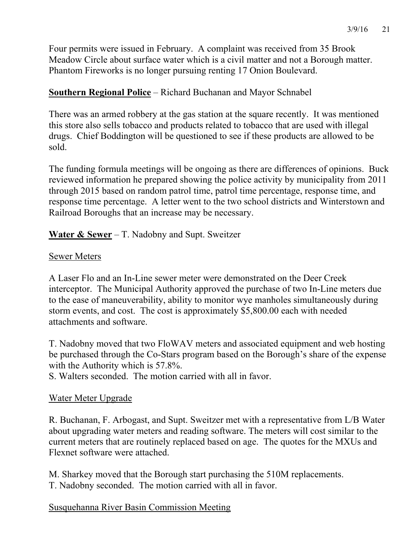Four permits were issued in February. A complaint was received from 35 Brook Meadow Circle about surface water which is a civil matter and not a Borough matter. Phantom Fireworks is no longer pursuing renting 17 Onion Boulevard.

# **Southern Regional Police** – Richard Buchanan and Mayor Schnabel

There was an armed robbery at the gas station at the square recently. It was mentioned this store also sells tobacco and products related to tobacco that are used with illegal drugs. Chief Boddington will be questioned to see if these products are allowed to be sold.

The funding formula meetings will be ongoing as there are differences of opinions. Buck reviewed information he prepared showing the police activity by municipality from 2011 through 2015 based on random patrol time, patrol time percentage, response time, and response time percentage. A letter went to the two school districts and Winterstown and Railroad Boroughs that an increase may be necessary.

**Water & Sewer** – T. Nadobny and Supt. Sweitzer

# Sewer Meters

A Laser Flo and an In-Line sewer meter were demonstrated on the Deer Creek interceptor. The Municipal Authority approved the purchase of two In-Line meters due to the ease of maneuverability, ability to monitor wye manholes simultaneously during storm events, and cost. The cost is approximately \$5,800.00 each with needed attachments and software.

T. Nadobny moved that two FloWAV meters and associated equipment and web hosting be purchased through the Co-Stars program based on the Borough's share of the expense with the Authority which is 57.8%.

S. Walters seconded. The motion carried with all in favor.

## Water Meter Upgrade

R. Buchanan, F. Arbogast, and Supt. Sweitzer met with a representative from L/B Water about upgrading water meters and reading software. The meters will cost similar to the current meters that are routinely replaced based on age. The quotes for the MXUs and Flexnet software were attached.

M. Sharkey moved that the Borough start purchasing the 510M replacements. T. Nadobny seconded. The motion carried with all in favor.

# Susquehanna River Basin Commission Meeting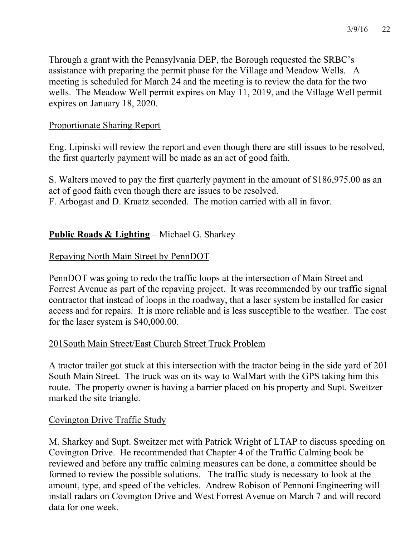Through a grant with the Pennsylvania DEP, the Borough requested the SRBC's assistance with preparing the permit phase for the Village and Meadow Wells. A meeting is scheduled for March 24 and the meeting is to review the data for the two wells. The Meadow Well permit expires on May 11, 2019, and the Village Well permit expires on January 18, 2020.

# Proportionate Sharing Report

Eng. Lipinski will review the report and even though there are still issues to be resolved, the first quarterly payment will be made as an act of good faith.

S. Walters moved to pay the first quarterly payment in the amount of \$186,975.00 as an act of good faith even though there are issues to be resolved. F. Arbogast and D. Kraatz seconded. The motion carried with all in favor.

# **Public Roads & Lighting** – Michael G. Sharkey

# Repaving North Main Street by PennDOT

PennDOT was going to redo the traffic loops at the intersection of Main Street and Forrest Avenue as part of the repaving project. It was recommended by our traffic signal contractor that instead of loops in the roadway, that a laser system be installed for easier access and for repairs. It is more reliable and is less susceptible to the weather. The cost for the laser system is \$40,000.00.

# 201South Main Street/East Church Street Truck Problem

A tractor trailer got stuck at this intersection with the tractor being in the side yard of 201 South Main Street. The truck was on its way to WalMart with the GPS taking him this route. The property owner is having a barrier placed on his property and Supt. Sweitzer marked the site triangle.

# Covington Drive Traffic Study

M. Sharkey and Supt. Sweitzer met with Patrick Wright of LTAP to discuss speeding on Covington Drive. He recommended that Chapter 4 of the Traffic Calming book be reviewed and before any traffic calming measures can be done, a committee should be formed to review the possible solutions. The traffic study is necessary to look at the amount, type, and speed of the vehicles. Andrew Robison of Pennoni Engineering will install radars on Covington Drive and West Forrest Avenue on March 7 and will record data for one week.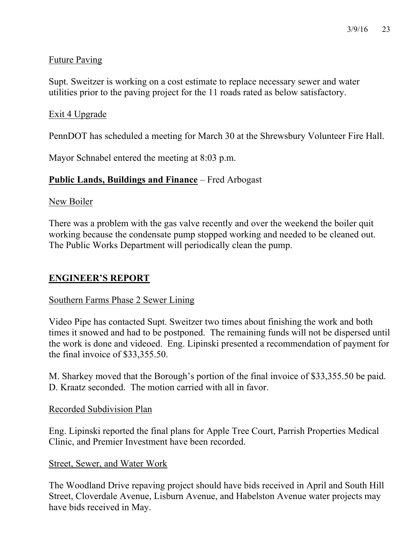# Future Paving

Supt. Sweitzer is working on a cost estimate to replace necessary sewer and water utilities prior to the paving project for the 11 roads rated as below satisfactory.

# Exit 4 Upgrade

PennDOT has scheduled a meeting for March 30 at the Shrewsbury Volunteer Fire Hall.

Mayor Schnabel entered the meeting at 8:03 p.m.

# **Public Lands, Buildings and Finance** – Fred Arbogast

#### New Boiler

There was a problem with the gas valve recently and over the weekend the boiler quit working because the condensate pump stopped working and needed to be cleaned out. The Public Works Department will periodically clean the pump.

## **ENGINEER'S REPORT**

## Southern Farms Phase 2 Sewer Lining

Video Pipe has contacted Supt. Sweitzer two times about finishing the work and both times it snowed and had to be postponed. The remaining funds will not be dispersed until the work is done and videoed. Eng. Lipinski presented a recommendation of payment for the final invoice of \$33,355.50.

M. Sharkey moved that the Borough's portion of the final invoice of \$33,355.50 be paid. D. Kraatz seconded. The motion carried with all in favor.

#### Recorded Subdivision Plan

Eng. Lipinski reported the final plans for Apple Tree Court, Parrish Properties Medical Clinic, and Premier Investment have been recorded.

#### Street, Sewer, and Water Work

The Woodland Drive repaving project should have bids received in April and South Hill Street, Cloverdale Avenue, Lisburn Avenue, and Habelston Avenue water projects may have bids received in May.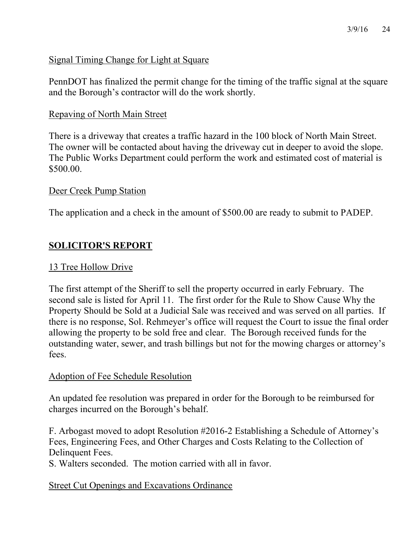# Signal Timing Change for Light at Square

PennDOT has finalized the permit change for the timing of the traffic signal at the square and the Borough's contractor will do the work shortly.

## Repaving of North Main Street

There is a driveway that creates a traffic hazard in the 100 block of North Main Street. The owner will be contacted about having the driveway cut in deeper to avoid the slope. The Public Works Department could perform the work and estimated cost of material is \$500.00.

## Deer Creek Pump Station

The application and a check in the amount of \$500.00 are ready to submit to PADEP.

# **SOLICITOR'S REPORT**

## 13 Tree Hollow Drive

The first attempt of the Sheriff to sell the property occurred in early February. The second sale is listed for April 11. The first order for the Rule to Show Cause Why the Property Should be Sold at a Judicial Sale was received and was served on all parties. If there is no response, Sol. Rehmeyer's office will request the Court to issue the final order allowing the property to be sold free and clear. The Borough received funds for the outstanding water, sewer, and trash billings but not for the mowing charges or attorney's fees.

## Adoption of Fee Schedule Resolution

An updated fee resolution was prepared in order for the Borough to be reimbursed for charges incurred on the Borough's behalf.

F. Arbogast moved to adopt Resolution #2016-2 Establishing a Schedule of Attorney's Fees, Engineering Fees, and Other Charges and Costs Relating to the Collection of Delinquent Fees.

S. Walters seconded. The motion carried with all in favor.

## Street Cut Openings and Excavations Ordinance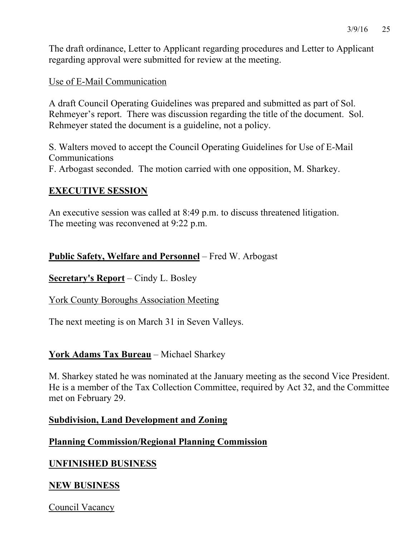The draft ordinance, Letter to Applicant regarding procedures and Letter to Applicant regarding approval were submitted for review at the meeting.

## Use of E-Mail Communication

A draft Council Operating Guidelines was prepared and submitted as part of Sol. Rehmeyer's report. There was discussion regarding the title of the document. Sol. Rehmeyer stated the document is a guideline, not a policy.

S. Walters moved to accept the Council Operating Guidelines for Use of E-Mail Communications F. Arbogast seconded. The motion carried with one opposition, M. Sharkey.

## **EXECUTIVE SESSION**

An executive session was called at 8:49 p.m. to discuss threatened litigation. The meeting was reconvened at 9:22 p.m.

# **Public Safety, Welfare and Personnel** – Fred W. Arbogast

**Secretary's Report** – Cindy L. Bosley

## York County Boroughs Association Meeting

The next meeting is on March 31 in Seven Valleys.

## **York Adams Tax Bureau** – Michael Sharkey

M. Sharkey stated he was nominated at the January meeting as the second Vice President. He is a member of the Tax Collection Committee, required by Act 32, and the Committee met on February 29.

#### **Subdivision, Land Development and Zoning**

## **Planning Commission/Regional Planning Commission**

# **UNFINISHED BUSINESS**

## **NEW BUSINESS**

Council Vacancy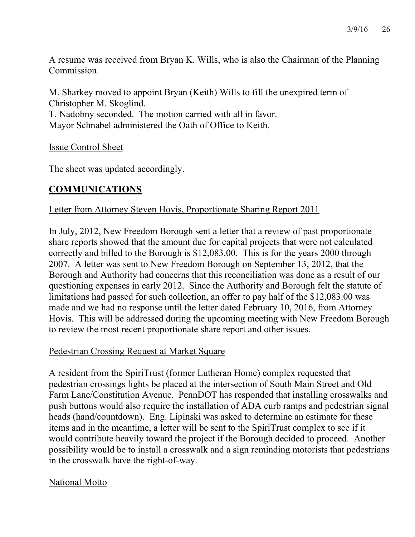A resume was received from Bryan K. Wills, who is also the Chairman of the Planning Commission.

M. Sharkey moved to appoint Bryan (Keith) Wills to fill the unexpired term of Christopher M. Skoglind. T. Nadobny seconded. The motion carried with all in favor. Mayor Schnabel administered the Oath of Office to Keith.

Issue Control Sheet

The sheet was updated accordingly.

# **COMMUNICATIONS**

# Letter from Attorney Steven Hovis, Proportionate Sharing Report 2011

In July, 2012, New Freedom Borough sent a letter that a review of past proportionate share reports showed that the amount due for capital projects that were not calculated correctly and billed to the Borough is \$12,083.00. This is for the years 2000 through 2007. A letter was sent to New Freedom Borough on September 13, 2012, that the Borough and Authority had concerns that this reconciliation was done as a result of our questioning expenses in early 2012. Since the Authority and Borough felt the statute of limitations had passed for such collection, an offer to pay half of the \$12,083.00 was made and we had no response until the letter dated February 10, 2016, from Attorney Hovis. This will be addressed during the upcoming meeting with New Freedom Borough to review the most recent proportionate share report and other issues.

## Pedestrian Crossing Request at Market Square

A resident from the SpiriTrust (former Lutheran Home) complex requested that pedestrian crossings lights be placed at the intersection of South Main Street and Old Farm Lane/Constitution Avenue. PennDOT has responded that installing crosswalks and push buttons would also require the installation of ADA curb ramps and pedestrian signal heads (hand/countdown). Eng. Lipinski was asked to determine an estimate for these items and in the meantime, a letter will be sent to the SpiriTrust complex to see if it would contribute heavily toward the project if the Borough decided to proceed. Another possibility would be to install a crosswalk and a sign reminding motorists that pedestrians in the crosswalk have the right-of-way.

## National Motto